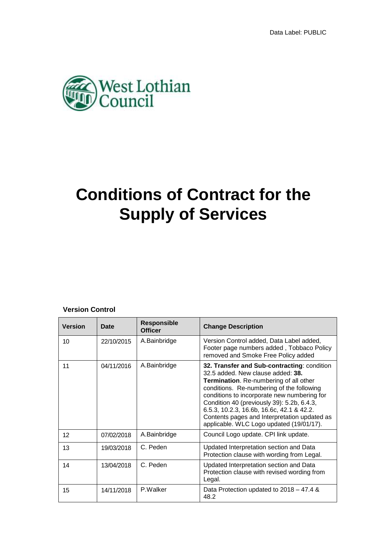

# **Conditions of Contract for the Supply of Services**

## **Version Control**

| <b>Version</b>  | <b>Date</b> | <b>Responsible</b><br><b>Officer</b> | <b>Change Description</b>                                                                                                                                                                                                                                                                                                                                                                                     |
|-----------------|-------------|--------------------------------------|---------------------------------------------------------------------------------------------------------------------------------------------------------------------------------------------------------------------------------------------------------------------------------------------------------------------------------------------------------------------------------------------------------------|
| 10              | 22/10/2015  | A.Bainbridge                         | Version Control added, Data Label added,<br>Footer page numbers added, Tobbaco Policy<br>removed and Smoke Free Policy added                                                                                                                                                                                                                                                                                  |
| 11              | 04/11/2016  | A.Bainbridge                         | 32. Transfer and Sub-contracting: condition<br>32.5 added. New clause added: 38.<br>Termination. Re-numbering of all other<br>conditions. Re-numbering of the following<br>conditions to incorporate new numbering for<br>Condition 40 (previously 39): 5.2b, 6.4.3,<br>6.5.3, 10.2.3, 16.6b, 16.6c, 42.1 & 42.2.<br>Contents pages and Interpretation updated as<br>applicable. WLC Logo updated (19/01/17). |
| 12 <sup>2</sup> | 07/02/2018  | A.Bainbridge                         | Council Logo update. CPI link update.                                                                                                                                                                                                                                                                                                                                                                         |
| 13              | 19/03/2018  | C. Peden                             | Updated Interpretation section and Data<br>Protection clause with wording from Legal.                                                                                                                                                                                                                                                                                                                         |
| 14              | 13/04/2018  | C. Peden                             | Updated Interpretation section and Data<br>Protection clause with revised wording from<br>Legal.                                                                                                                                                                                                                                                                                                              |
| 15              | 14/11/2018  | P.Walker                             | Data Protection updated to 2018 – 47.4 &<br>48.2                                                                                                                                                                                                                                                                                                                                                              |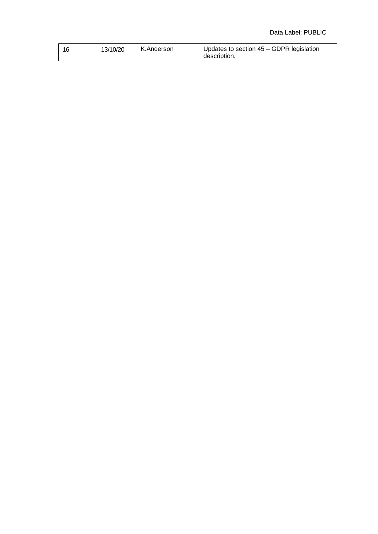#### Data Label: PUBLIC

| 1 Q | 13/10/20 | K.Anderson | Updates to section 45 – GDPR legislation |
|-----|----------|------------|------------------------------------------|
|     |          |            | description.                             |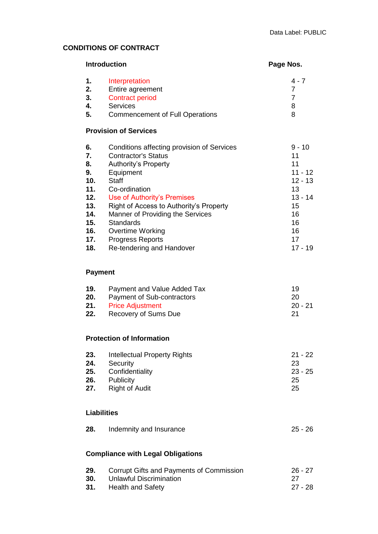## **CONDITIONS OF CONTRACT**

| <b>Introduction</b>                                                                 | Page Nos.                                                                                                                                                                                                                                                                                                                                                           |                                                                                                              |
|-------------------------------------------------------------------------------------|---------------------------------------------------------------------------------------------------------------------------------------------------------------------------------------------------------------------------------------------------------------------------------------------------------------------------------------------------------------------|--------------------------------------------------------------------------------------------------------------|
| 1.<br>2.<br>3.<br>4.<br>5.                                                          | Interpretation<br>Entire agreement<br><b>Contract period</b><br><b>Services</b><br><b>Commencement of Full Operations</b>                                                                                                                                                                                                                                           | $4 - 7$<br>$\overline{7}$<br>$\overline{7}$<br>8<br>8                                                        |
|                                                                                     | <b>Provision of Services</b>                                                                                                                                                                                                                                                                                                                                        |                                                                                                              |
| 6.<br>7.<br>8.<br>9.<br>10.<br>11.<br>12.<br>13.<br>14.<br>15.<br>16.<br>17.<br>18. | Conditions affecting provision of Services<br><b>Contractor's Status</b><br><b>Authority's Property</b><br>Equipment<br><b>Staff</b><br>Co-ordination<br>Use of Authority's Premises<br>Right of Access to Authority's Property<br>Manner of Providing the Services<br><b>Standards</b><br>Overtime Working<br><b>Progress Reports</b><br>Re-tendering and Handover | $9 - 10$<br>11<br>11<br>$11 - 12$<br>$12 - 13$<br>13<br>$13 - 14$<br>15<br>16<br>16<br>16<br>17<br>$17 - 19$ |
| <b>Payment</b>                                                                      |                                                                                                                                                                                                                                                                                                                                                                     |                                                                                                              |
| 19.<br>20.<br>21.<br>22.                                                            | Payment and Value Added Tax<br>Payment of Sub-contractors<br><b>Price Adjustment</b><br>Recovery of Sums Due                                                                                                                                                                                                                                                        | 19<br>20<br>$20 - 21$<br>21                                                                                  |
|                                                                                     | <b>Protection of Information</b>                                                                                                                                                                                                                                                                                                                                    |                                                                                                              |
| 23.<br>24.<br>25.<br>26.<br>27.<br><b>Liabilities</b>                               | <b>Intellectual Property Rights</b><br>Security<br>Confidentiality<br>Publicity<br><b>Right of Audit</b>                                                                                                                                                                                                                                                            | $21 - 22$<br>23<br>$23 - 25$<br>25<br>25                                                                     |
|                                                                                     |                                                                                                                                                                                                                                                                                                                                                                     |                                                                                                              |

| 28. | Indemnity and Insurance | $25 - 26$ |
|-----|-------------------------|-----------|
|-----|-------------------------|-----------|

## **Compliance with Legal Obligations**

| 29. | Corrupt Gifts and Payments of Commission | $26 - 27$ |
|-----|------------------------------------------|-----------|
| 30. | Unlawful Discrimination                  | -27       |
|     | <b>31.</b> Health and Safety             | 27 - 28   |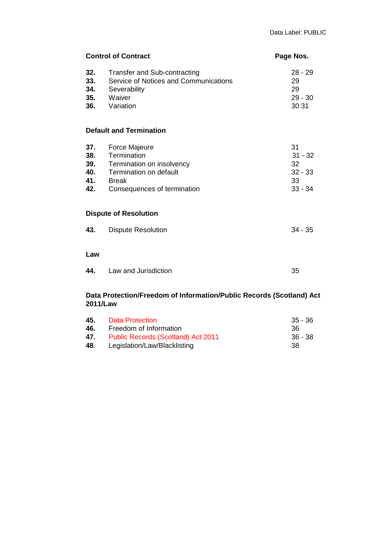| <b>Control of Contract</b>                                                       |                                                                                                                                           | Page Nos.                                             |
|----------------------------------------------------------------------------------|-------------------------------------------------------------------------------------------------------------------------------------------|-------------------------------------------------------|
| 32.<br>33.<br>34.<br>35.<br>36.                                                  | Transfer and Sub-contracting<br>Service of Notices and Communications<br>Severability<br>Waiver<br>Variation                              | $28 - 29$<br>29<br>29<br>$29 - 30$<br>30 31           |
|                                                                                  | <b>Default and Termination</b>                                                                                                            |                                                       |
| 37.<br>38.<br>39.<br>40.<br>41.<br>42.                                           | <b>Force Majeure</b><br>Termination<br>Termination on insolvency<br>Termination on default<br><b>Break</b><br>Consequences of termination | 31<br>$31 - 32$<br>32<br>$32 - 33$<br>33<br>$33 - 34$ |
|                                                                                  | <b>Dispute of Resolution</b>                                                                                                              |                                                       |
| 43.                                                                              | <b>Dispute Resolution</b>                                                                                                                 | $34 - 35$                                             |
| Law                                                                              |                                                                                                                                           |                                                       |
| 44.                                                                              | Law and Jurisdiction                                                                                                                      | 35                                                    |
| Data Protection/Freedom of Information/Public Records (Scotland) Act<br>2011/Law |                                                                                                                                           |                                                       |

| Data Protection                           | $35 - 36$ |
|-------------------------------------------|-----------|
| Freedom of Information                    | 36.       |
| <b>Public Records (Scotland) Act 2011</b> | 36 - 38   |
| Legislation/Law/Blacklisting              | -38       |
|                                           |           |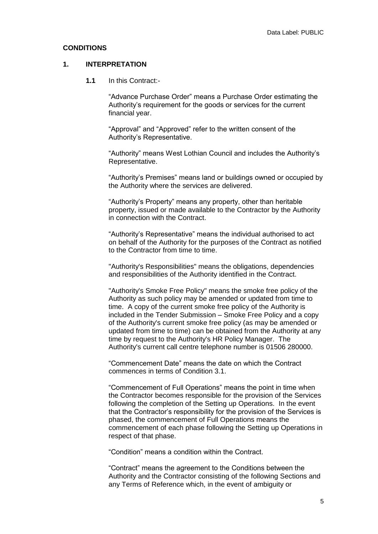#### **CONDITIONS**

#### **1. INTERPRETATION**

**1.1** In this Contract:-

"Advance Purchase Order" means a Purchase Order estimating the Authority's requirement for the goods or services for the current financial year.

"Approval" and "Approved" refer to the written consent of the Authority's Representative.

"Authority" means West Lothian Council and includes the Authority's Representative.

"Authority's Premises" means land or buildings owned or occupied by the Authority where the services are delivered.

"Authority's Property" means any property, other than heritable property, issued or made available to the Contractor by the Authority in connection with the Contract.

"Authority's Representative" means the individual authorised to act on behalf of the Authority for the purposes of the Contract as notified to the Contractor from time to time.

"Authority's Responsibilities" means the obligations, dependencies and responsibilities of the Authority identified in the Contract.

"Authority's Smoke Free Policy" means the smoke free policy of the Authority as such policy may be amended or updated from time to time. A copy of the current smoke free policy of the Authority is included in the Tender Submission – Smoke Free Policy and a copy of the Authority's current smoke free policy (as may be amended or updated from time to time) can be obtained from the Authority at any time by request to the Authority's HR Policy Manager. The Authority's current call centre telephone number is 01506 280000.

"Commencement Date" means the date on which the Contract commences in terms of Condition 3.1.

"Commencement of Full Operations" means the point in time when the Contractor becomes responsible for the provision of the Services following the completion of the Setting up Operations. In the event that the Contractor's responsibility for the provision of the Services is phased, the commencement of Full Operations means the commencement of each phase following the Setting up Operations in respect of that phase.

"Condition" means a condition within the Contract.

"Contract" means the agreement to the Conditions between the Authority and the Contractor consisting of the following Sections and any Terms of Reference which, in the event of ambiguity or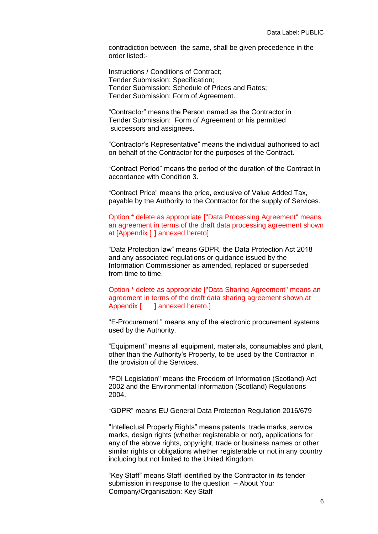contradiction between the same, shall be given precedence in the order listed:-

Instructions / Conditions of Contract; Tender Submission: Specification; Tender Submission: Schedule of Prices and Rates; Tender Submission: Form of Agreement.

"Contractor" means the Person named as the Contractor in Tender Submission: Form of Agreement or his permitted successors and assignees.

"Contractor's Representative" means the individual authorised to act on behalf of the Contractor for the purposes of the Contract.

"Contract Period" means the period of the duration of the Contract in accordance with Condition 3.

"Contract Price" means the price, exclusive of Value Added Tax, payable by the Authority to the Contractor for the supply of Services.

Option \* delete as appropriate ["Data Processing Agreement" means an agreement in terms of the draft data processing agreement shown at [Appendix [ ] annexed hereto]

"Data Protection law" means GDPR, the Data Protection Act 2018 and any associated regulations or guidance issued by the Information Commissioner as amended, replaced or superseded from time to time.

Option \* delete as appropriate ["Data Sharing Agreement" means an agreement in terms of the draft data sharing agreement shown at Appendix [ ] annexed hereto.]

"E-Procurement " means any of the electronic procurement systems used by the Authority.

"Equipment" means all equipment, materials, consumables and plant, other than the Authority's Property, to be used by the Contractor in the provision of the Services.

"FOI Legislation" means the Freedom of Information (Scotland) Act 2002 and the Environmental Information (Scotland) Regulations 2004.

"GDPR" means EU General Data Protection Regulation 2016/679

"Intellectual Property Rights" means patents, trade marks, service marks, design rights (whether registerable or not), applications for any of the above rights, copyright, trade or business names or other similar rights or obligations whether registerable or not in any country including but not limited to the United Kingdom.

"Key Staff" means Staff identified by the Contractor in its tender submission in response to the question – About Your Company/Organisation: Key Staff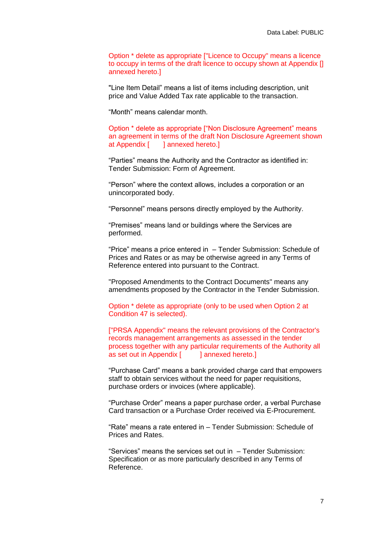Option \* delete as appropriate ["Licence to Occupy" means a licence to occupy in terms of the draft licence to occupy shown at Appendix [] annexed hereto.]

"Line Item Detail" means a list of items including description, unit price and Value Added Tax rate applicable to the transaction.

"Month" means calendar month.

Option \* delete as appropriate ["Non Disclosure Agreement" means an agreement in terms of the draft Non Disclosure Agreement shown at Appendix [ ] annexed hereto.]

"Parties" means the Authority and the Contractor as identified in: Tender Submission: Form of Agreement.

"Person" where the context allows, includes a corporation or an unincorporated body.

"Personnel" means persons directly employed by the Authority.

"Premises" means land or buildings where the Services are performed.

"Price" means a price entered in – Tender Submission: Schedule of Prices and Rates or as may be otherwise agreed in any Terms of Reference entered into pursuant to the Contract.

"Proposed Amendments to the Contract Documents" means any amendments proposed by the Contractor in the Tender Submission.

Option \* delete as appropriate (only to be used when Option 2 at Condition 47 is selected).

["PRSA Appendix" means the relevant provisions of the Contractor's records management arrangements as assessed in the tender process together with any particular requirements of the Authority all as set out in Appendix [ ] annexed hereto.]

"Purchase Card" means a bank provided charge card that empowers staff to obtain services without the need for paper requisitions, purchase orders or invoices (where applicable).

"Purchase Order" means a paper purchase order, a verbal Purchase Card transaction or a Purchase Order received via E-Procurement.

"Rate" means a rate entered in – Tender Submission: Schedule of Prices and Rates.

"Services" means the services set out in – Tender Submission: Specification or as more particularly described in any Terms of Reference.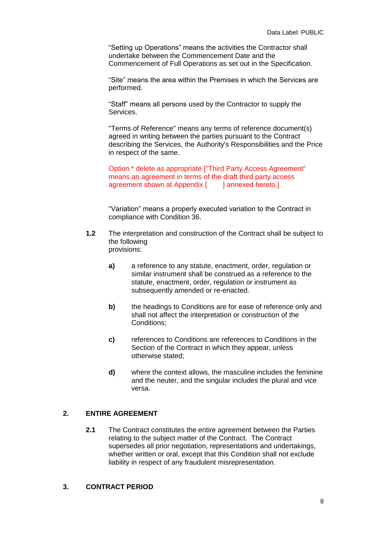"Setting up Operations" means the activities the Contractor shall undertake between the Commencement Date and the Commencement of Full Operations as set out in the Specification.

"Site" means the area within the Premises in which the Services are performed.

"Staff" means all persons used by the Contractor to supply the Services.

"Terms of Reference" means any terms of reference document(s) agreed in writing between the parties pursuant to the Contract describing the Services, the Authority's Responsibilities and the Price in respect of the same.

Option \* delete as appropriate ["Third Party Access Agreement" means an agreement in terms of the draft third party access agreement shown at Appendix [ ] annexed hereto.]

"Variation" means a properly executed variation to the Contract in compliance with Condition 36.

- **1.2** The interpretation and construction of the Contract shall be subject to the following provisions:
	- **a)** a reference to any statute, enactment, order, regulation or similar instrument shall be construed as a reference to the statute, enactment, order, regulation or instrument as subsequently amended or re-enacted.
	- **b)** the headings to Conditions are for ease of reference only and shall not affect the interpretation or construction of the Conditions;
	- **c)** references to Conditions are references to Conditions in the Section of the Contract in which they appear, unless otherwise stated;
	- **d)** where the context allows, the masculine includes the feminine and the neuter, and the singular includes the plural and vice versa.

## **2. ENTIRE AGREEMENT**

**2.1** The Contract constitutes the entire agreement between the Parties relating to the subject matter of the Contract. The Contract supersedes all prior negotiation, representations and undertakings, whether written or oral, except that this Condition shall not exclude liability in respect of any fraudulent misrepresentation.

#### **3. CONTRACT PERIOD**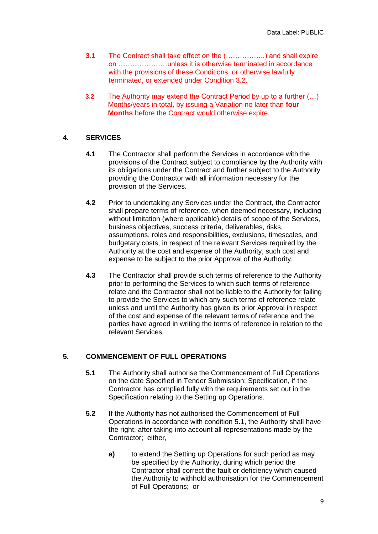- **3.1** The Contract shall take effect on the (……………..) and shall expire on …………………unless it is otherwise terminated in accordance with the provisions of these Conditions, or otherwise lawfully terminated, or extended under Condition 3.2.
- **3.2** The Authority may extend the Contract Period by up to a further (…) Months/years in total, by issuing a Variation no later than **four Months** before the Contract would otherwise expire.

## **4. SERVICES**

- **4.1** The Contractor shall perform the Services in accordance with the provisions of the Contract subject to compliance by the Authority with its obligations under the Contract and further subject to the Authority providing the Contractor with all information necessary for the provision of the Services.
- **4.2** Prior to undertaking any Services under the Contract, the Contractor shall prepare terms of reference, when deemed necessary, including without limitation (where applicable) details of scope of the Services, business objectives, success criteria, deliverables, risks, assumptions, roles and responsibilities, exclusions, timescales, and budgetary costs, in respect of the relevant Services required by the Authority at the cost and expense of the Authority, such cost and expense to be subject to the prior Approval of the Authority.
- **4.3** The Contractor shall provide such terms of reference to the Authority prior to performing the Services to which such terms of reference relate and the Contractor shall not be liable to the Authority for failing to provide the Services to which any such terms of reference relate unless and until the Authority has given its prior Approval in respect of the cost and expense of the relevant terms of reference and the parties have agreed in writing the terms of reference in relation to the relevant Services.

## **5. COMMENCEMENT OF FULL OPERATIONS**

- **5.1** The Authority shall authorise the Commencement of Full Operations on the date Specified in Tender Submission: Specification, if the Contractor has complied fully with the requirements set out in the Specification relating to the Setting up Operations.
- **5.2** If the Authority has not authorised the Commencement of Full Operations in accordance with condition 5.1, the Authority shall have the right, after taking into account all representations made by the Contractor; either,
	- **a)** to extend the Setting up Operations for such period as may be specified by the Authority, during which period the Contractor shall correct the fault or deficiency which caused the Authority to withhold authorisation for the Commencement of Full Operations; or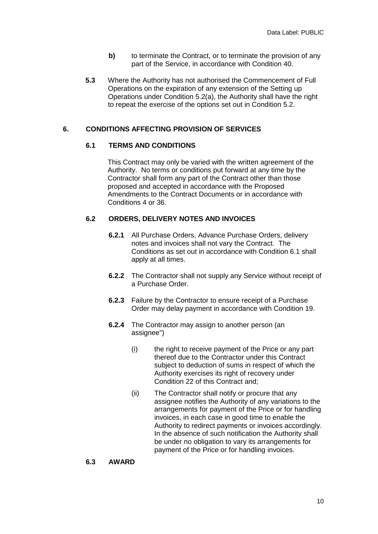- **b)** to terminate the Contract, or to terminate the provision of any part of the Service, in accordance with Condition 40.
- **5.3** Where the Authority has not authorised the Commencement of Full Operations on the expiration of any extension of the Setting up Operations under Condition 5.2(a), the Authority shall have the right to repeat the exercise of the options set out in Condition 5.2.

## **6. CONDITIONS AFFECTING PROVISION OF SERVICES**

#### **6.1 TERMS AND CONDITIONS**

This Contract may only be varied with the written agreement of the Authority. No terms or conditions put forward at any time by the Contractor shall form any part of the Contract other than those proposed and accepted in accordance with the Proposed Amendments to the Contract Documents or in accordance with Conditions 4 or 36.

#### **6.2 ORDERS, DELIVERY NOTES AND INVOICES**

- **6.2.1** All Purchase Orders, Advance Purchase Orders, delivery notes and invoices shall not vary the Contract. The Conditions as set out in accordance with Condition 6.1 shall apply at all times.
- **6.2.2** The Contractor shall not supply any Service without receipt of a Purchase Order.
- **6.2.3** Failure by the Contractor to ensure receipt of a Purchase Order may delay payment in accordance with Condition 19.
- **6.2.4** The Contractor may assign to another person (an assignee")
	- (i) the right to receive payment of the Price or any part thereof due to the Contractor under this Contract subject to deduction of sums in respect of which the Authority exercises its right of recovery under Condition 22 of this Contract and;
	- (ii) The Contractor shall notify or procure that any assignee notifies the Authority of any variations to the arrangements for payment of the Price or for handling invoices, in each case in good time to enable the Authority to redirect payments or invoices accordingly. In the absence of such notification the Authority shall be under no obligation to vary its arrangements for payment of the Price or for handling invoices.

#### **6.3 AWARD**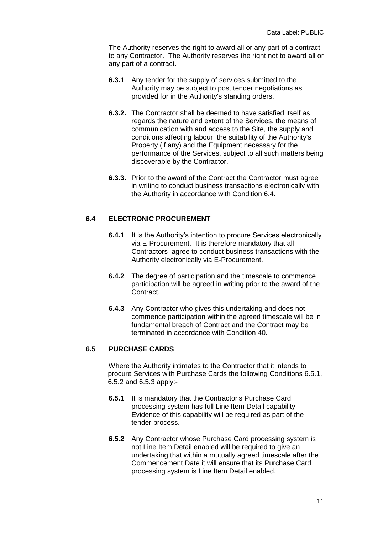The Authority reserves the right to award all or any part of a contract to any Contractor. The Authority reserves the right not to award all or any part of a contract.

- **6.3.1** Any tender for the supply of services submitted to the Authority may be subject to post tender negotiations as provided for in the Authority's standing orders.
- **6.3.2.** The Contractor shall be deemed to have satisfied itself as regards the nature and extent of the Services, the means of communication with and access to the Site, the supply and conditions affecting labour, the suitability of the Authority's Property (if any) and the Equipment necessary for the performance of the Services, subject to all such matters being discoverable by the Contractor.
- **6.3.3.** Prior to the award of the Contract the Contractor must agree in writing to conduct business transactions electronically with the Authority in accordance with Condition 6.4.

## **6.4 ELECTRONIC PROCUREMENT**

- **6.4.1** It is the Authority's intention to procure Services electronically via E-Procurement. It is therefore mandatory that all Contractors agree to conduct business transactions with the Authority electronically via E-Procurement.
- **6.4.2** The degree of participation and the timescale to commence participation will be agreed in writing prior to the award of the Contract.
- **6.4.3** Any Contractor who gives this undertaking and does not commence participation within the agreed timescale will be in fundamental breach of Contract and the Contract may be terminated in accordance with Condition 40.

#### **6.5 PURCHASE CARDS**

Where the Authority intimates to the Contractor that it intends to procure Services with Purchase Cards the following Conditions 6.5.1, 6.5.2 and 6.5.3 apply:-

- **6.5.1** It is mandatory that the Contractor's Purchase Card processing system has full Line Item Detail capability. Evidence of this capability will be required as part of the tender process.
- **6.5.2** Any Contractor whose Purchase Card processing system is not Line Item Detail enabled will be required to give an undertaking that within a mutually agreed timescale after the Commencement Date it will ensure that its Purchase Card processing system is Line Item Detail enabled.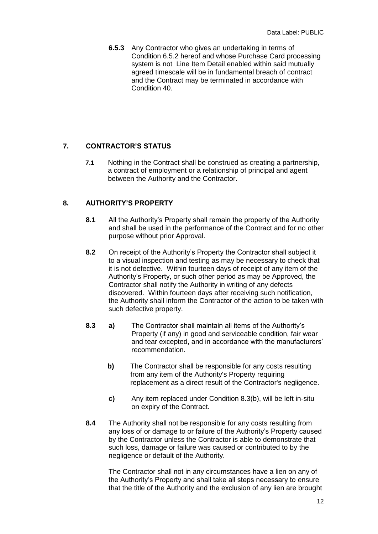**6.5.3** Any Contractor who gives an undertaking in terms of Condition 6.5.2 hereof and whose Purchase Card processing system is not Line Item Detail enabled within said mutually agreed timescale will be in fundamental breach of contract and the Contract may be terminated in accordance with Condition 40.

## **7. CONTRACTOR'S STATUS**

**7.1** Nothing in the Contract shall be construed as creating a partnership, a contract of employment or a relationship of principal and agent between the Authority and the Contractor.

#### **8. AUTHORITY'S PROPERTY**

- **8.1** All the Authority's Property shall remain the property of the Authority and shall be used in the performance of the Contract and for no other purpose without prior Approval.
- **8.2** On receipt of the Authority's Property the Contractor shall subject it to a visual inspection and testing as may be necessary to check that it is not defective. Within fourteen days of receipt of any item of the Authority's Property, or such other period as may be Approved, the Contractor shall notify the Authority in writing of any defects discovered. Within fourteen days after receiving such notification, the Authority shall inform the Contractor of the action to be taken with such defective property.
- **8.3 a)** The Contractor shall maintain all items of the Authority's Property (if any) in good and serviceable condition, fair wear and tear excepted, and in accordance with the manufacturers' recommendation.
	- **b)** The Contractor shall be responsible for any costs resulting from any item of the Authority's Property requiring replacement as a direct result of the Contractor's negligence.
	- **c)** Any item replaced under Condition 8.3(b), will be left in-situ on expiry of the Contract.
- **8.4** The Authority shall not be responsible for any costs resulting from any loss of or damage to or failure of the Authority's Property caused by the Contractor unless the Contractor is able to demonstrate that such loss, damage or failure was caused or contributed to by the negligence or default of the Authority.

The Contractor shall not in any circumstances have a lien on any of the Authority's Property and shall take all steps necessary to ensure that the title of the Authority and the exclusion of any lien are brought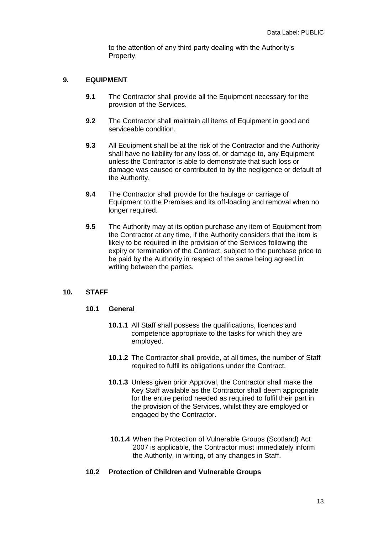to the attention of any third party dealing with the Authority's Property.

## **9. EQUIPMENT**

- **9.1** The Contractor shall provide all the Equipment necessary for the provision of the Services.
- **9.2** The Contractor shall maintain all items of Equipment in good and serviceable condition.
- **9.3** All Equipment shall be at the risk of the Contractor and the Authority shall have no liability for any loss of, or damage to, any Equipment unless the Contractor is able to demonstrate that such loss or damage was caused or contributed to by the negligence or default of the Authority.
- **9.4** The Contractor shall provide for the haulage or carriage of Equipment to the Premises and its off-loading and removal when no longer required.
- **9.5** The Authority may at its option purchase any item of Equipment from the Contractor at any time, if the Authority considers that the item is likely to be required in the provision of the Services following the expiry or termination of the Contract, subject to the purchase price to be paid by the Authority in respect of the same being agreed in writing between the parties.

#### **10. STAFF**

## **10.1 General**

- **10.1.1** All Staff shall possess the qualifications, licences and competence appropriate to the tasks for which they are employed.
- **10.1.2** The Contractor shall provide, at all times, the number of Staff required to fulfil its obligations under the Contract.
- **10.1.3** Unless given prior Approval, the Contractor shall make the Key Staff available as the Contractor shall deem appropriate for the entire period needed as required to fulfil their part in the provision of the Services, whilst they are employed or engaged by the Contractor.
- **10.1.4** When the Protection of Vulnerable Groups (Scotland) Act 2007 is applicable, the Contractor must immediately inform the Authority, in writing, of any changes in Staff.

#### **10.2 Protection of Children and Vulnerable Groups**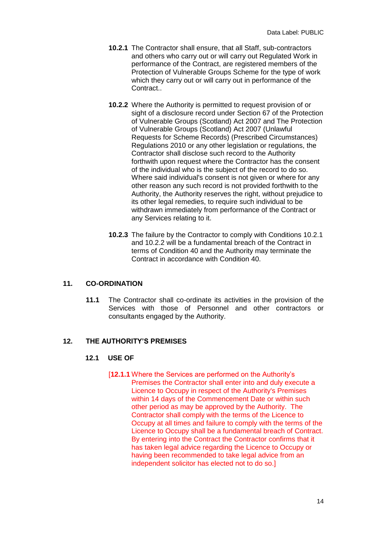- **10.2.1** The Contractor shall ensure, that all Staff, sub-contractors and others who carry out or will carry out Regulated Work in performance of the Contract, are registered members of the Protection of Vulnerable Groups Scheme for the type of work which they carry out or will carry out in performance of the Contract..
- **10.2.2** Where the Authority is permitted to request provision of or sight of a disclosure record under Section 67 of the Protection of Vulnerable Groups (Scotland) Act 2007 and The Protection of Vulnerable Groups (Scotland) Act 2007 (Unlawful Requests for Scheme Records) (Prescribed Circumstances) Regulations 2010 or any other legislation or regulations, the Contractor shall disclose such record to the Authority forthwith upon request where the Contractor has the consent of the individual who is the subject of the record to do so. Where said individual's consent is not given or where for any other reason any such record is not provided forthwith to the Authority, the Authority reserves the right, without prejudice to its other legal remedies, to require such individual to be withdrawn immediately from performance of the Contract or any Services relating to it.
- **10.2.3** The failure by the Contractor to comply with Conditions 10.2.1 and 10.2.2 will be a fundamental breach of the Contract in terms of Condition 40 and the Authority may terminate the Contract in accordance with Condition 40.

#### **11. CO-ORDINATION**

**11.1** The Contractor shall co-ordinate its activities in the provision of the Services with those of Personnel and other contractors or consultants engaged by the Authority.

#### **12. THE AUTHORITY'S PREMISES**

#### **12.1 USE OF**

[**12.1.1** Where the Services are performed on the Authority's Premises the Contractor shall enter into and duly execute a Licence to Occupy in respect of the Authority's Premises within 14 days of the Commencement Date or within such other period as may be approved by the Authority. The Contractor shall comply with the terms of the Licence to Occupy at all times and failure to comply with the terms of the Licence to Occupy shall be a fundamental breach of Contract. By entering into the Contract the Contractor confirms that it has taken legal advice regarding the Licence to Occupy or having been recommended to take legal advice from an independent solicitor has elected not to do so.]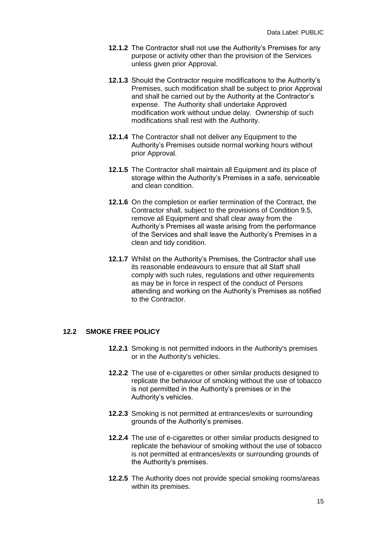- **12.1.2** The Contractor shall not use the Authority's Premises for any purpose or activity other than the provision of the Services unless given prior Approval.
- **12.1.3** Should the Contractor require modifications to the Authority's Premises, such modification shall be subject to prior Approval and shall be carried out by the Authority at the Contractor's expense. The Authority shall undertake Approved modification work without undue delay. Ownership of such modifications shall rest with the Authority.
- **12.1.4** The Contractor shall not deliver any Equipment to the Authority's Premises outside normal working hours without prior Approval.
- **12.1.5** The Contractor shall maintain all Equipment and its place of storage within the Authority's Premises in a safe, serviceable and clean condition.
- **12.1.6** On the completion or earlier termination of the Contract, the Contractor shall, subject to the provisions of Condition 9.5, remove all Equipment and shall clear away from the Authority's Premises all waste arising from the performance of the Services and shall leave the Authority's Premises in a clean and tidy condition.
- **12.1.7** Whilst on the Authority's Premises, the Contractor shall use its reasonable endeavours to ensure that all Staff shall comply with such rules, regulations and other requirements as may be in force in respect of the conduct of Persons attending and working on the Authority's Premises as notified to the Contractor.

#### **12.2 SMOKE FREE POLICY**

- **12.2.1** Smoking is not permitted indoors in the Authority's premises or in the Authority's vehicles.
- **12.2.2** The use of e-cigarettes or other similar products designed to replicate the behaviour of smoking without the use of tobacco is not permitted in the Authority's premises or in the Authority's vehicles.
- **12.2.3** Smoking is not permitted at entrances/exits or surrounding grounds of the Authority's premises.
- **12.2.4** The use of e-cigarettes or other similar products designed to replicate the behaviour of smoking without the use of tobacco is not permitted at entrances/exits or surrounding grounds of the Authority's premises.
- **12.2.5** The Authority does not provide special smoking rooms/areas within its premises.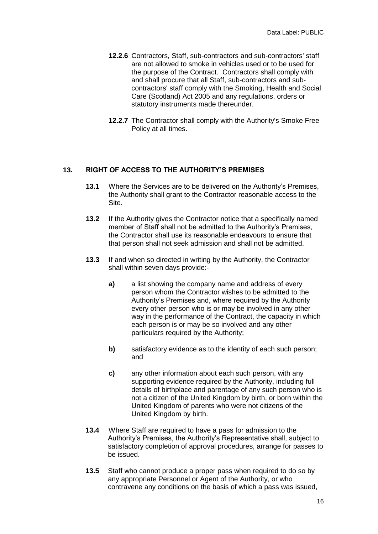- **12.2.6** Contractors, Staff, sub-contractors and sub-contractors' staff are not allowed to smoke in vehicles used or to be used for the purpose of the Contract. Contractors shall comply with and shall procure that all Staff, sub-contractors and subcontractors' staff comply with the Smoking, Health and Social Care (Scotland) Act 2005 and any regulations, orders or statutory instruments made thereunder.
- **12.2.7** The Contractor shall comply with the Authority's Smoke Free Policy at all times.

#### **13. RIGHT OF ACCESS TO THE AUTHORITY'S PREMISES**

- **13.1** Where the Services are to be delivered on the Authority's Premises, the Authority shall grant to the Contractor reasonable access to the Site.
- **13.2** If the Authority gives the Contractor notice that a specifically named member of Staff shall not be admitted to the Authority's Premises, the Contractor shall use its reasonable endeavours to ensure that that person shall not seek admission and shall not be admitted.
- **13.3** If and when so directed in writing by the Authority, the Contractor shall within seven days provide:
	- **a)** a list showing the company name and address of every person whom the Contractor wishes to be admitted to the Authority's Premises and, where required by the Authority every other person who is or may be involved in any other way in the performance of the Contract, the capacity in which each person is or may be so involved and any other particulars required by the Authority;
	- **b)** satisfactory evidence as to the identity of each such person; and
	- **c)** any other information about each such person, with any supporting evidence required by the Authority, including full details of birthplace and parentage of any such person who is not a citizen of the United Kingdom by birth, or born within the United Kingdom of parents who were not citizens of the United Kingdom by birth.
- **13.4** Where Staff are required to have a pass for admission to the Authority's Premises, the Authority's Representative shall, subject to satisfactory completion of approval procedures, arrange for passes to be issued.
- **13.5** Staff who cannot produce a proper pass when required to do so by any appropriate Personnel or Agent of the Authority, or who contravene any conditions on the basis of which a pass was issued,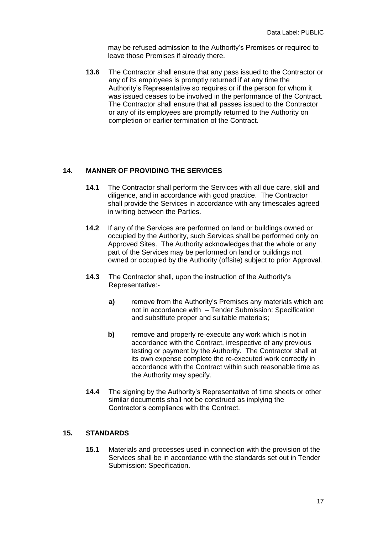may be refused admission to the Authority's Premises or required to leave those Premises if already there.

**13.6** The Contractor shall ensure that any pass issued to the Contractor or any of its employees is promptly returned if at any time the Authority's Representative so requires or if the person for whom it was issued ceases to be involved in the performance of the Contract. The Contractor shall ensure that all passes issued to the Contractor or any of its employees are promptly returned to the Authority on completion or earlier termination of the Contract.

## **14. MANNER OF PROVIDING THE SERVICES**

- **14.1** The Contractor shall perform the Services with all due care, skill and diligence, and in accordance with good practice. The Contractor shall provide the Services in accordance with any timescales agreed in writing between the Parties.
- **14.2** If any of the Services are performed on land or buildings owned or occupied by the Authority, such Services shall be performed only on Approved Sites. The Authority acknowledges that the whole or any part of the Services may be performed on land or buildings not owned or occupied by the Authority (offsite) subject to prior Approval.
- **14.3** The Contractor shall, upon the instruction of the Authority's Representative:
	- **a)** remove from the Authority's Premises any materials which are not in accordance with – Tender Submission: Specification and substitute proper and suitable materials;
	- **b)** remove and properly re-execute any work which is not in accordance with the Contract, irrespective of any previous testing or payment by the Authority. The Contractor shall at its own expense complete the re-executed work correctly in accordance with the Contract within such reasonable time as the Authority may specify.
- **14.4** The signing by the Authority's Representative of time sheets or other similar documents shall not be construed as implying the Contractor's compliance with the Contract.

#### **15. STANDARDS**

**15.1** Materials and processes used in connection with the provision of the Services shall be in accordance with the standards set out in Tender Submission: Specification.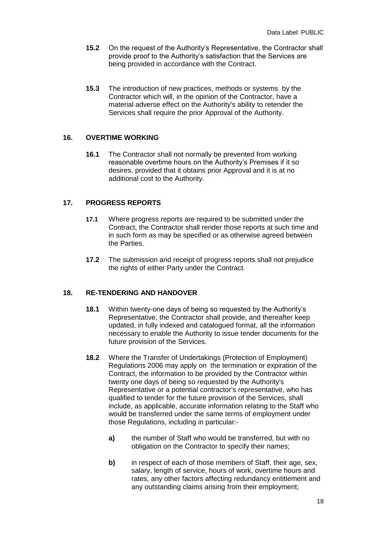- **15.2** On the request of the Authority's Representative, the Contractor shall provide proof to the Authority's satisfaction that the Services are being provided in accordance with the Contract.
- **15.3** The introduction of new practices, methods or systems by the Contractor which will, in the opinion of the Contractor, have a material adverse effect on the Authority's ability to retender the Services shall require the prior Approval of the Authority.

#### **16. OVERTIME WORKING**

**16.1** The Contractor shall not normally be prevented from working reasonable overtime hours on the Authority's Premises if it so desires, provided that it obtains prior Approval and it is at no additional cost to the Authority.

#### **17. PROGRESS REPORTS**

- **17.1** Where progress reports are required to be submitted under the Contract, the Contractor shall render those reports at such time and in such form as may be specified or as otherwise agreed between the Parties.
- **17.2** The submission and receipt of progress reports shall not prejudice the rights of either Party under the Contract.

#### **18. RE-TENDERING AND HANDOVER**

- **18.1** Within twenty-one days of being so requested by the Authority's Representative, the Contractor shall provide, and thereafter keep updated, in fully indexed and catalogued format, all the information necessary to enable the Authority to issue tender documents for the future provision of the Services.
- **18.2** Where the Transfer of Undertakings (Protection of Employment) Regulations 2006 may apply on the termination or expiration of the Contract, the information to be provided by the Contractor within twenty one days of being so requested by the Authority's Representative or a potential contractor's representative, who has qualified to tender for the future provision of the Services, shall include, as applicable, accurate information relating to the Staff who would be transferred under the same terms of employment under those Regulations, including in particular:
	- **a)** the number of Staff who would be transferred, but with no obligation on the Contractor to specify their names;
	- **b)** in respect of each of those members of Staff, their age, sex, salary, length of service, hours of work, overtime hours and rates, any other factors affecting redundancy entitlement and any outstanding claims arising from their employment;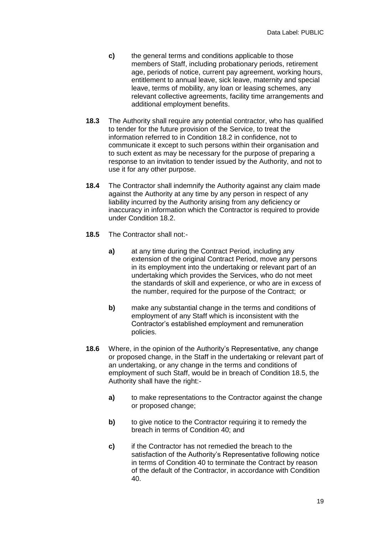- **c)** the general terms and conditions applicable to those members of Staff, including probationary periods, retirement age, periods of notice, current pay agreement, working hours, entitlement to annual leave, sick leave, maternity and special leave, terms of mobility, any loan or leasing schemes, any relevant collective agreements, facility time arrangements and additional employment benefits.
- **18.3** The Authority shall require any potential contractor, who has qualified to tender for the future provision of the Service, to treat the information referred to in Condition 18.2 in confidence, not to communicate it except to such persons within their organisation and to such extent as may be necessary for the purpose of preparing a response to an invitation to tender issued by the Authority, and not to use it for any other purpose.
- **18.4** The Contractor shall indemnify the Authority against any claim made against the Authority at any time by any person in respect of any liability incurred by the Authority arising from any deficiency or inaccuracy in information which the Contractor is required to provide under Condition 18.2.
- **18.5** The Contractor shall not:
	- **a)** at any time during the Contract Period, including any extension of the original Contract Period, move any persons in its employment into the undertaking or relevant part of an undertaking which provides the Services, who do not meet the standards of skill and experience, or who are in excess of the number, required for the purpose of the Contract; or
	- **b)** make any substantial change in the terms and conditions of employment of any Staff which is inconsistent with the Contractor's established employment and remuneration policies.
- **18.6** Where, in the opinion of the Authority's Representative, any change or proposed change, in the Staff in the undertaking or relevant part of an undertaking, or any change in the terms and conditions of employment of such Staff, would be in breach of Condition 18.5, the Authority shall have the right:
	- **a)** to make representations to the Contractor against the change or proposed change;
	- **b)** to give notice to the Contractor requiring it to remedy the breach in terms of Condition 40; and
	- **c)** if the Contractor has not remedied the breach to the satisfaction of the Authority's Representative following notice in terms of Condition 40 to terminate the Contract by reason of the default of the Contractor, in accordance with Condition 40.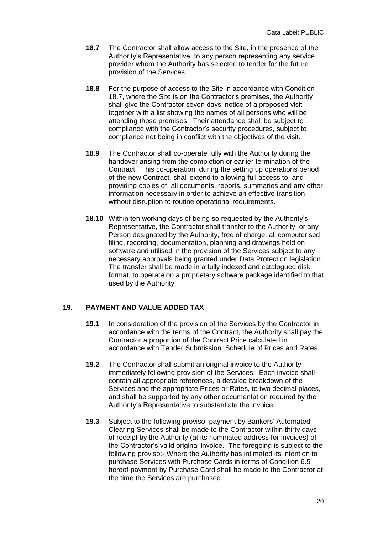- **18.7** The Contractor shall allow access to the Site, in the presence of the Authority's Representative, to any person representing any service provider whom the Authority has selected to tender for the future provision of the Services.
- **18.8** For the purpose of access to the Site in accordance with Condition 18.7, where the Site is on the Contractor's premises, the Authority shall give the Contractor seven days' notice of a proposed visit together with a list showing the names of all persons who will be attending those premises. Their attendance shall be subject to compliance with the Contractor's security procedures, subject to compliance not being in conflict with the objectives of the visit.
- **18.9** The Contractor shall co-operate fully with the Authority during the handover arising from the completion or earlier termination of the Contract. This co-operation, during the setting up operations period of the new Contract, shall extend to allowing full access to, and providing copies of, all documents, reports, summaries and any other information necessary in order to achieve an effective transition without disruption to routine operational requirements.
- **18.10** Within ten working days of being so requested by the Authority's Representative, the Contractor shall transfer to the Authority, or any Person designated by the Authority, free of charge, all computerised filing, recording, documentation, planning and drawings held on software and utilised in the provision of the Services subject to any necessary approvals being granted under Data Protection legislation. The transfer shall be made in a fully indexed and catalogued disk format, to operate on a proprietary software package identified to that used by the Authority.

## **19. PAYMENT AND VALUE ADDED TAX**

- **19.1** In consideration of the provision of the Services by the Contractor in accordance with the terms of the Contract, the Authority shall pay the Contractor a proportion of the Contract Price calculated in accordance with Tender Submission: Schedule of Prices and Rates.
- **19.2** The Contractor shall submit an original invoice to the Authority immediately following provision of the Services. Each invoice shall contain all appropriate references, a detailed breakdown of the Services and the appropriate Prices or Rates, to two decimal places, and shall be supported by any other documentation required by the Authority's Representative to substantiate the invoice.
- **19.3** Subject to the following proviso, payment by Bankers' Automated Clearing Services shall be made to the Contractor within thirty days of receipt by the Authority (at its nominated address for invoices) of the Contractor's valid original invoice. The foregoing is subject to the following proviso:- Where the Authority has intimated its intention to purchase Services with Purchase Cards in terms of Condition 6.5 hereof payment by Purchase Card shall be made to the Contractor at the time the Services are purchased.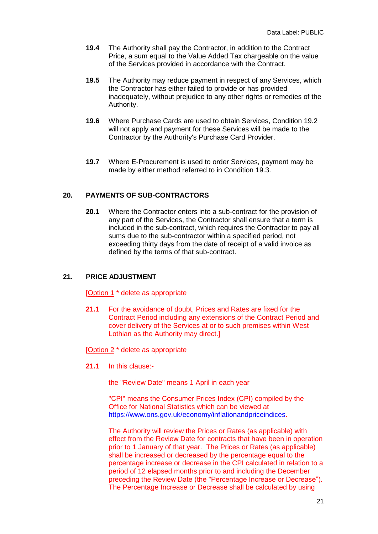- **19.4** The Authority shall pay the Contractor, in addition to the Contract Price, a sum equal to the Value Added Tax chargeable on the value of the Services provided in accordance with the Contract.
- **19.5** The Authority may reduce payment in respect of any Services, which the Contractor has either failed to provide or has provided inadequately, without prejudice to any other rights or remedies of the Authority.
- **19.6** Where Purchase Cards are used to obtain Services, Condition 19.2 will not apply and payment for these Services will be made to the Contractor by the Authority's Purchase Card Provider.
- **19.7** Where E-Procurement is used to order Services, payment may be made by either method referred to in Condition 19.3.

## **20. PAYMENTS OF SUB-CONTRACTORS**

**20.1** Where the Contractor enters into a sub-contract for the provision of any part of the Services, the Contractor shall ensure that a term is included in the sub-contract, which requires the Contractor to pay all sums due to the sub-contractor within a specified period, not exceeding thirty days from the date of receipt of a valid invoice as defined by the terms of that sub-contract.

## **21. PRICE ADJUSTMENT**

[Option 1 \* delete as appropriate

**21.1** For the avoidance of doubt, Prices and Rates are fixed for the Contract Period including any extensions of the Contract Period and cover delivery of the Services at or to such premises within West Lothian as the Authority may direct.]

[Option 2 \* delete as appropriate

**21.1** In this clause:-

the "Review Date" means 1 April in each year

"CPI" means the Consumer Prices Index (CPI) compiled by the Office for National Statistics which can be viewed at [https://www.ons.gov.uk/economy/inflationandpriceindices.](https://www.ons.gov.uk/economy/inflationandpriceindices)

The Authority will review the Prices or Rates (as applicable) with effect from the Review Date for contracts that have been in operation prior to 1 January of that year. The Prices or Rates (as applicable) shall be increased or decreased by the percentage equal to the percentage increase or decrease in the CPI calculated in relation to a period of 12 elapsed months prior to and including the December preceding the Review Date (the "Percentage Increase or Decrease"). The Percentage Increase or Decrease shall be calculated by using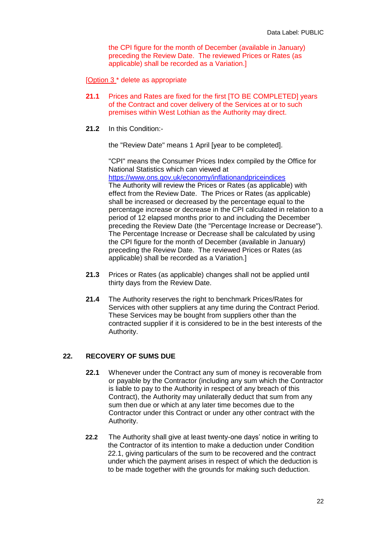the CPI figure for the month of December (available in January) preceding the Review Date. The reviewed Prices or Rates (as applicable) shall be recorded as a Variation.]

[Option 3 \* delete as appropriate

- **21.1** Prices and Rates are fixed for the first [TO BE COMPLETED] years of the Contract and cover delivery of the Services at or to such premises within West Lothian as the Authority may direct.
- **21.2** In this Condition:-

the "Review Date" means 1 April [year to be completed].

"CPI" means the Consumer Prices Index compiled by the Office for National Statistics which can viewed at <https://www.ons.gov.uk/economy/inflationandpriceindices> The Authority will review the Prices or Rates (as applicable) with effect from the Review Date. The Prices or Rates (as applicable) shall be increased or decreased by the percentage equal to the percentage increase or decrease in the CPI calculated in relation to a period of 12 elapsed months prior to and including the December preceding the Review Date (the "Percentage Increase or Decrease"). The Percentage Increase or Decrease shall be calculated by using the CPI figure for the month of December (available in January) preceding the Review Date. The reviewed Prices or Rates (as applicable) shall be recorded as a Variation.]

- **21.3** Prices or Rates (as applicable) changes shall not be applied until thirty days from the Review Date.
- **21.4** The Authority reserves the right to benchmark Prices/Rates for Services with other suppliers at any time during the Contract Period. These Services may be bought from suppliers other than the contracted supplier if it is considered to be in the best interests of the Authority.

#### **22. RECOVERY OF SUMS DUE**

- **22.1** Whenever under the Contract any sum of money is recoverable from or payable by the Contractor (including any sum which the Contractor is liable to pay to the Authority in respect of any breach of this Contract), the Authority may unilaterally deduct that sum from any sum then due or which at any later time becomes due to the Contractor under this Contract or under any other contract with the Authority.
- **22.2** The Authority shall give at least twenty-one days' notice in writing to the Contractor of its intention to make a deduction under Condition 22.1, giving particulars of the sum to be recovered and the contract under which the payment arises in respect of which the deduction is to be made together with the grounds for making such deduction.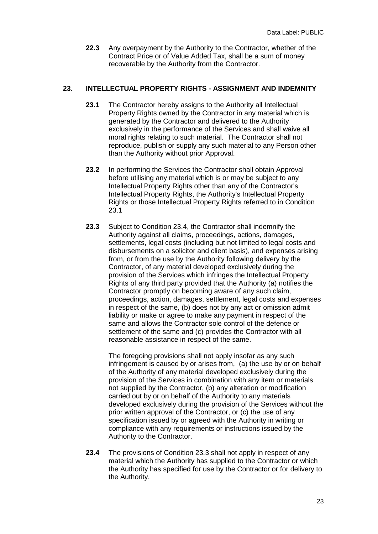**22.3** Any overpayment by the Authority to the Contractor, whether of the Contract Price or of Value Added Tax, shall be a sum of money recoverable by the Authority from the Contractor.

#### **23. INTELLECTUAL PROPERTY RIGHTS - ASSIGNMENT AND INDEMNITY**

- **23.1** The Contractor hereby assigns to the Authority all Intellectual Property Rights owned by the Contractor in any material which is generated by the Contractor and delivered to the Authority exclusively in the performance of the Services and shall waive all moral rights relating to such material. The Contractor shall not reproduce, publish or supply any such material to any Person other than the Authority without prior Approval.
- **23.2** In performing the Services the Contractor shall obtain Approval before utilising any material which is or may be subject to any Intellectual Property Rights other than any of the Contractor's Intellectual Property Rights, the Authority's Intellectual Property Rights or those Intellectual Property Rights referred to in Condition 23.1
- **23.3** Subject to Condition 23.4, the Contractor shall indemnify the Authority against all claims, proceedings, actions, damages, settlements, legal costs (including but not limited to legal costs and disbursements on a solicitor and client basis), and expenses arising from, or from the use by the Authority following delivery by the Contractor, of any material developed exclusively during the provision of the Services which infringes the Intellectual Property Rights of any third party provided that the Authority (a) notifies the Contractor promptly on becoming aware of any such claim, proceedings, action, damages, settlement, legal costs and expenses in respect of the same, (b) does not by any act or omission admit liability or make or agree to make any payment in respect of the same and allows the Contractor sole control of the defence or settlement of the same and (c) provides the Contractor with all reasonable assistance in respect of the same.

The foregoing provisions shall not apply insofar as any such infringement is caused by or arises from, (a) the use by or on behalf of the Authority of any material developed exclusively during the provision of the Services in combination with any item or materials not supplied by the Contractor, (b) any alteration or modification carried out by or on behalf of the Authority to any materials developed exclusively during the provision of the Services without the prior written approval of the Contractor, or (c) the use of any specification issued by or agreed with the Authority in writing or compliance with any requirements or instructions issued by the Authority to the Contractor.

**23.4** The provisions of Condition 23.3 shall not apply in respect of any material which the Authority has supplied to the Contractor or which the Authority has specified for use by the Contractor or for delivery to the Authority.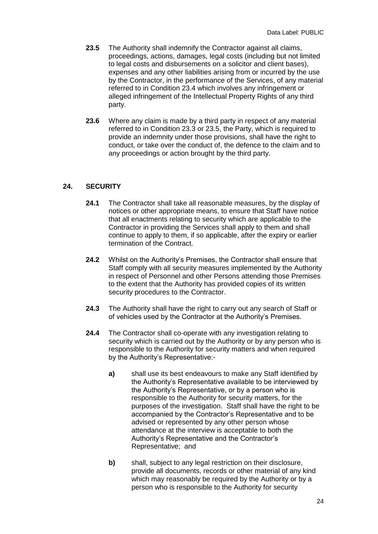- **23.5** The Authority shall indemnify the Contractor against all claims, proceedings, actions, damages, legal costs (including but not limited to legal costs and disbursements on a solicitor and client bases), expenses and any other liabilities arising from or incurred by the use by the Contractor, in the performance of the Services, of any material referred to in Condition 23.4 which involves any infringement or alleged infringement of the Intellectual Property Rights of any third party.
- **23.6** Where any claim is made by a third party in respect of any material referred to in Condition 23.3 or 23.5, the Party, which is required to provide an indemnity under those provisions, shall have the right to conduct, or take over the conduct of, the defence to the claim and to any proceedings or action brought by the third party.

#### **24. SECURITY**

- **24.1** The Contractor shall take all reasonable measures, by the display of notices or other appropriate means, to ensure that Staff have notice that all enactments relating to security which are applicable to the Contractor in providing the Services shall apply to them and shall continue to apply to them, if so applicable, after the expiry or earlier termination of the Contract.
- **24.2** Whilst on the Authority's Premises, the Contractor shall ensure that Staff comply with all security measures implemented by the Authority in respect of Personnel and other Persons attending those Premises to the extent that the Authority has provided copies of its written security procedures to the Contractor.
- **24.3** The Authority shall have the right to carry out any search of Staff or of vehicles used by the Contractor at the Authority's Premises.
- **24.4** The Contractor shall co-operate with any investigation relating to security which is carried out by the Authority or by any person who is responsible to the Authority for security matters and when required by the Authority's Representative:
	- **a)** shall use its best endeavours to make any Staff identified by the Authority's Representative available to be interviewed by the Authority's Representative, or by a person who is responsible to the Authority for security matters, for the purposes of the investigation. Staff shall have the right to be accompanied by the Contractor's Representative and to be advised or represented by any other person whose attendance at the interview is acceptable to both the Authority's Representative and the Contractor's Representative; and
	- **b)** shall, subject to any legal restriction on their disclosure, provide all documents, records or other material of any kind which may reasonably be required by the Authority or by a person who is responsible to the Authority for security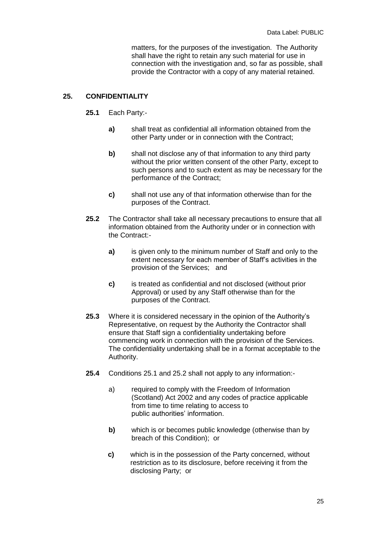matters, for the purposes of the investigation. The Authority shall have the right to retain any such material for use in connection with the investigation and, so far as possible, shall provide the Contractor with a copy of any material retained.

#### **25. CONFIDENTIALITY**

- **25.1** Each Party:
	- **a)** shall treat as confidential all information obtained from the other Party under or in connection with the Contract;
	- **b)** shall not disclose any of that information to any third party without the prior written consent of the other Party, except to such persons and to such extent as may be necessary for the performance of the Contract;
	- **c)** shall not use any of that information otherwise than for the purposes of the Contract.
- **25.2** The Contractor shall take all necessary precautions to ensure that all information obtained from the Authority under or in connection with the Contract:
	- **a)** is given only to the minimum number of Staff and only to the extent necessary for each member of Staff's activities in the provision of the Services; and
	- **c)** is treated as confidential and not disclosed (without prior Approval) or used by any Staff otherwise than for the purposes of the Contract.
- **25.3** Where it is considered necessary in the opinion of the Authority's Representative, on request by the Authority the Contractor shall ensure that Staff sign a confidentiality undertaking before commencing work in connection with the provision of the Services. The confidentiality undertaking shall be in a format acceptable to the Authority.
- **25.4** Conditions 25.1 and 25.2 shall not apply to any information:
	- a) required to comply with the Freedom of Information (Scotland) Act 2002 and any codes of practice applicable from time to time relating to access to public authorities' information.
	- **b)** which is or becomes public knowledge (otherwise than by breach of this Condition); or
	- **c)** which is in the possession of the Party concerned, without restriction as to its disclosure, before receiving it from the disclosing Party; or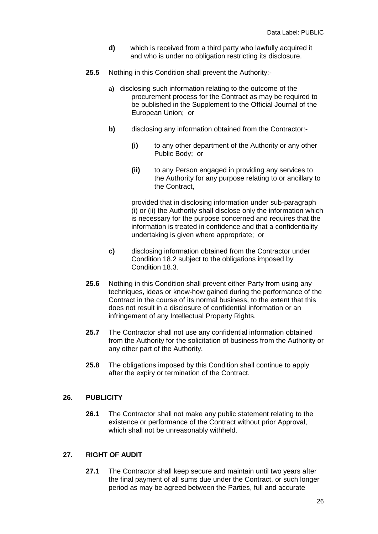- **d)** which is received from a third party who lawfully acquired it and who is under no obligation restricting its disclosure.
- **25.5** Nothing in this Condition shall prevent the Authority:
	- **a)** disclosing such information relating to the outcome of the procurement process for the Contract as may be required to be published in the Supplement to the Official Journal of the European Union; or
	- **b)** disclosing any information obtained from the Contractor:-
		- **(i)** to any other department of the Authority or any other Public Body; or
		- **(ii)** to any Person engaged in providing any services to the Authority for any purpose relating to or ancillary to the Contract,

provided that in disclosing information under sub-paragraph (i) or (ii) the Authority shall disclose only the information which is necessary for the purpose concerned and requires that the information is treated in confidence and that a confidentiality undertaking is given where appropriate; or

- **c)** disclosing information obtained from the Contractor under Condition 18.2 subject to the obligations imposed by Condition 18.3.
- **25.6** Nothing in this Condition shall prevent either Party from using any techniques, ideas or know-how gained during the performance of the Contract in the course of its normal business, to the extent that this does not result in a disclosure of confidential information or an infringement of any Intellectual Property Rights.
- **25.7** The Contractor shall not use any confidential information obtained from the Authority for the solicitation of business from the Authority or any other part of the Authority.
- **25.8** The obligations imposed by this Condition shall continue to apply after the expiry or termination of the Contract.

#### **26. PUBLICITY**

**26.1** The Contractor shall not make any public statement relating to the existence or performance of the Contract without prior Approval, which shall not be unreasonably withheld.

#### **27. RIGHT OF AUDIT**

**27.1** The Contractor shall keep secure and maintain until two years after the final payment of all sums due under the Contract, or such longer period as may be agreed between the Parties, full and accurate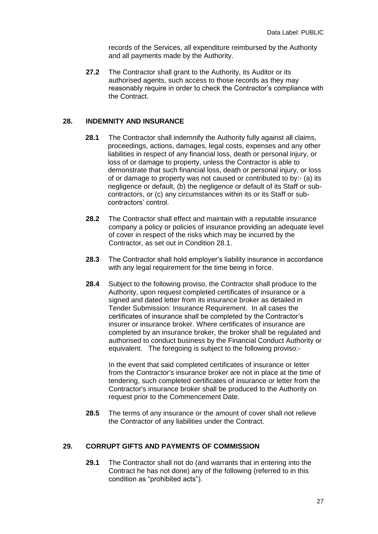records of the Services, all expenditure reimbursed by the Authority and all payments made by the Authority.

**27.2** The Contractor shall grant to the Authority, its Auditor or its authorised agents, such access to those records as they may reasonably require in order to check the Contractor's compliance with the Contract.

#### **28. INDEMNITY AND INSURANCE**

- **28.1** The Contractor shall indemnify the Authority fully against all claims, proceedings, actions, damages, legal costs, expenses and any other liabilities in respect of any financial loss, death or personal injury, or loss of or damage to property, unless the Contractor is able to demonstrate that such financial loss, death or personal injury, or loss of or damage to property was not caused or contributed to by:- (a) its negligence or default, (b) the negligence or default of its Staff or subcontractors, or (c) any circumstances within its or its Staff or subcontractors' control.
- **28.2** The Contractor shall effect and maintain with a reputable insurance company a policy or policies of insurance providing an adequate level of cover in respect of the risks which may be incurred by the Contractor, as set out in Condition 28.1.
- **28.3** The Contractor shall hold employer's liability insurance in accordance with any legal requirement for the time being in force.
- **28.4** Subject to the following proviso, the Contractor shall produce to the Authority, upon request completed certificates of insurance or a signed and dated letter from its insurance broker as detailed in Tender Submission: Insurance Requirement. In all cases the certificates of insurance shall be completed by the Contractor's insurer or insurance broker. Where certificates of insurance are completed by an insurance broker, the broker shall be regulated and authorised to conduct business by the Financial Conduct Authority or equivalent. The foregoing is subject to the following proviso:-

In the event that said completed certificates of insurance or letter from the Contractor's insurance broker are not in place at the time of tendering, such completed certificates of insurance or letter from the Contractor's insurance broker shall be produced to the Authority on request prior to the Commencement Date.

**28.5** The terms of any insurance or the amount of cover shall not relieve the Contractor of any liabilities under the Contract.

## **29. CORRUPT GIFTS AND PAYMENTS OF COMMISSION**

**29.1** The Contractor shall not do (and warrants that in entering into the Contract he has not done) any of the following (referred to in this condition as "prohibited acts").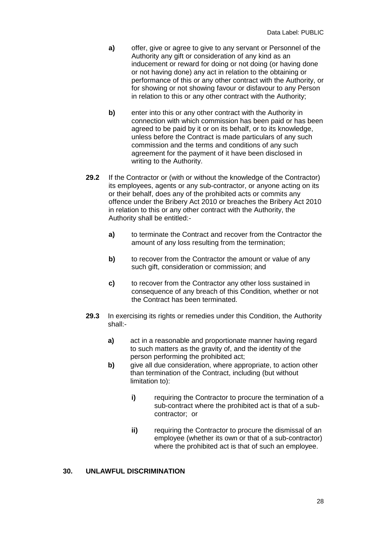- **a)** offer, give or agree to give to any servant or Personnel of the Authority any gift or consideration of any kind as an inducement or reward for doing or not doing (or having done or not having done) any act in relation to the obtaining or performance of this or any other contract with the Authority, or for showing or not showing favour or disfavour to any Person in relation to this or any other contract with the Authority;
- **b)** enter into this or any other contract with the Authority in connection with which commission has been paid or has been agreed to be paid by it or on its behalf, or to its knowledge, unless before the Contract is made particulars of any such commission and the terms and conditions of any such agreement for the payment of it have been disclosed in writing to the Authority.
- **29.2** If the Contractor or (with or without the knowledge of the Contractor) its employees, agents or any sub-contractor, or anyone acting on its or their behalf, does any of the prohibited acts or commits any offence under the Bribery Act 2010 or breaches the Bribery Act 2010 in relation to this or any other contract with the Authority, the Authority shall be entitled:
	- **a)** to terminate the Contract and recover from the Contractor the amount of any loss resulting from the termination;
	- **b)** to recover from the Contractor the amount or value of any such gift, consideration or commission; and
	- **c)** to recover from the Contractor any other loss sustained in consequence of any breach of this Condition, whether or not the Contract has been terminated.
- **29.3** In exercising its rights or remedies under this Condition, the Authority shall:
	- **a)** act in a reasonable and proportionate manner having regard to such matters as the gravity of, and the identity of the person performing the prohibited act;
	- **b)** give all due consideration, where appropriate, to action other than termination of the Contract, including (but without limitation to):
		- **i)** requiring the Contractor to procure the termination of a sub-contract where the prohibited act is that of a subcontractor; or
		- **ii)** requiring the Contractor to procure the dismissal of an employee (whether its own or that of a sub-contractor) where the prohibited act is that of such an employee.

#### **30. UNLAWFUL DISCRIMINATION**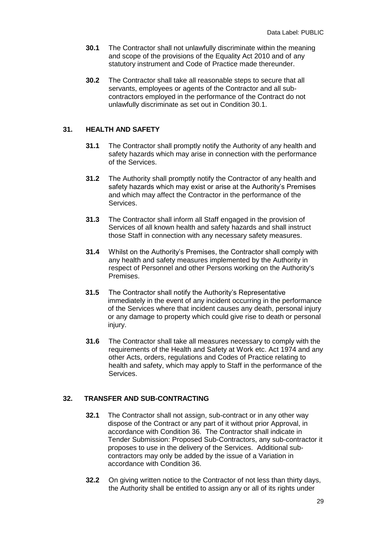- **30.1** The Contractor shall not unlawfully discriminate within the meaning and scope of the provisions of the Equality Act 2010 and of any statutory instrument and Code of Practice made thereunder.
- **30.2** The Contractor shall take all reasonable steps to secure that all servants, employees or agents of the Contractor and all subcontractors employed in the performance of the Contract do not unlawfully discriminate as set out in Condition 30.1.

#### **31. HEALTH AND SAFETY**

- **31.1** The Contractor shall promptly notify the Authority of any health and safety hazards which may arise in connection with the performance of the Services.
- **31.2** The Authority shall promptly notify the Contractor of any health and safety hazards which may exist or arise at the Authority's Premises and which may affect the Contractor in the performance of the Services.
- **31.3** The Contractor shall inform all Staff engaged in the provision of Services of all known health and safety hazards and shall instruct those Staff in connection with any necessary safety measures.
- **31.4** Whilst on the Authority's Premises, the Contractor shall comply with any health and safety measures implemented by the Authority in respect of Personnel and other Persons working on the Authority's Premises.
- **31.5** The Contractor shall notify the Authority's Representative immediately in the event of any incident occurring in the performance of the Services where that incident causes any death, personal injury or any damage to property which could give rise to death or personal injury.
- **31.6** The Contractor shall take all measures necessary to comply with the requirements of the Health and Safety at Work etc. Act 1974 and any other Acts, orders, regulations and Codes of Practice relating to health and safety, which may apply to Staff in the performance of the Services.

#### **32. TRANSFER AND SUB-CONTRACTING**

- **32.1** The Contractor shall not assign, sub-contract or in any other way dispose of the Contract or any part of it without prior Approval, in accordance with Condition 36. The Contractor shall indicate in Tender Submission: Proposed Sub-Contractors, any sub-contractor it proposes to use in the delivery of the Services. Additional subcontractors may only be added by the issue of a Variation in accordance with Condition 36.
- **32.2** On giving written notice to the Contractor of not less than thirty days, the Authority shall be entitled to assign any or all of its rights under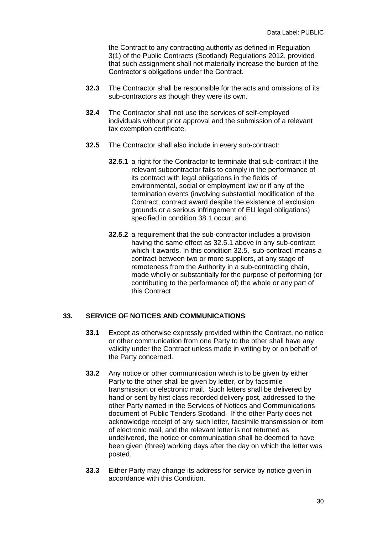the Contract to any contracting authority as defined in Regulation 3(1) of the Public Contracts (Scotland) Regulations 2012, provided that such assignment shall not materially increase the burden of the Contractor's obligations under the Contract.

- **32.3** The Contractor shall be responsible for the acts and omissions of its sub-contractors as though they were its own.
- **32.4** The Contractor shall not use the services of self-employed individuals without prior approval and the submission of a relevant tax exemption certificate.
- **32.5** The Contractor shall also include in every sub-contract:
	- **32.5.1** a right for the Contractor to terminate that sub-contract if the relevant subcontractor fails to comply in the performance of its contract with legal obligations in the fields of environmental, social or employment law or if any of the termination events (involving substantial modification of the Contract, contract award despite the existence of exclusion grounds or a serious infringement of EU legal obligations) specified in condition 38.1 occur; and
	- **32.5.2** a requirement that the sub-contractor includes a provision having the same effect as 32.5.1 above in any sub-contract which it awards. In this condition 32.5, 'sub-contract' means a contract between two or more suppliers, at any stage of remoteness from the Authority in a sub-contracting chain, made wholly or substantially for the purpose of performing (or contributing to the performance of) the whole or any part of this Contract

## **33. SERVICE OF NOTICES AND COMMUNICATIONS**

- **33.1** Except as otherwise expressly provided within the Contract, no notice or other communication from one Party to the other shall have any validity under the Contract unless made in writing by or on behalf of the Party concerned.
- **33.2** Any notice or other communication which is to be given by either Party to the other shall be given by letter, or by facsimile transmission or electronic mail. Such letters shall be delivered by hand or sent by first class recorded delivery post, addressed to the other Party named in the Services of Notices and Communications document of Public Tenders Scotland. If the other Party does not acknowledge receipt of any such letter, facsimile transmission or item of electronic mail, and the relevant letter is not returned as undelivered, the notice or communication shall be deemed to have been given (three) working days after the day on which the letter was posted.
- **33.3** Either Party may change its address for service by notice given in accordance with this Condition.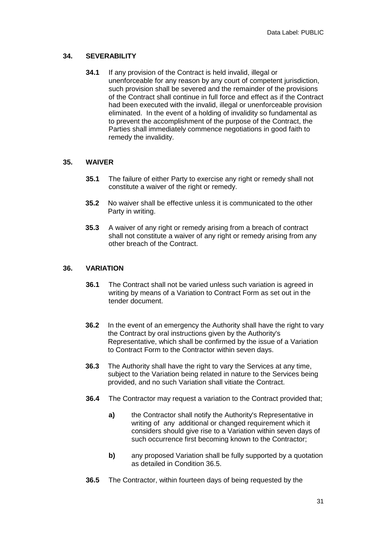#### **34. SEVERABILITY**

**34.1** If any provision of the Contract is held invalid, illegal or unenforceable for any reason by any court of competent jurisdiction, such provision shall be severed and the remainder of the provisions of the Contract shall continue in full force and effect as if the Contract had been executed with the invalid, illegal or unenforceable provision eliminated. In the event of a holding of invalidity so fundamental as to prevent the accomplishment of the purpose of the Contract, the Parties shall immediately commence negotiations in good faith to remedy the invalidity.

#### **35. WAIVER**

- **35.1** The failure of either Party to exercise any right or remedy shall not constitute a waiver of the right or remedy.
- **35.2** No waiver shall be effective unless it is communicated to the other Party in writing.
- **35.3** A waiver of any right or remedy arising from a breach of contract shall not constitute a waiver of any right or remedy arising from any other breach of the Contract.

#### **36. VARIATION**

- **36.1** The Contract shall not be varied unless such variation is agreed in writing by means of a Variation to Contract Form as set out in the tender document.
- **36.2** In the event of an emergency the Authority shall have the right to vary the Contract by oral instructions given by the Authority's Representative, which shall be confirmed by the issue of a Variation to Contract Form to the Contractor within seven days.
- **36.3** The Authority shall have the right to vary the Services at any time, subject to the Variation being related in nature to the Services being provided, and no such Variation shall vitiate the Contract.
- **36.4** The Contractor may request a variation to the Contract provided that;
	- **a)** the Contractor shall notify the Authority's Representative in writing of any additional or changed requirement which it considers should give rise to a Variation within seven days of such occurrence first becoming known to the Contractor;
	- **b)** any proposed Variation shall be fully supported by a quotation as detailed in Condition 36.5.
- **36.5** The Contractor, within fourteen days of being requested by the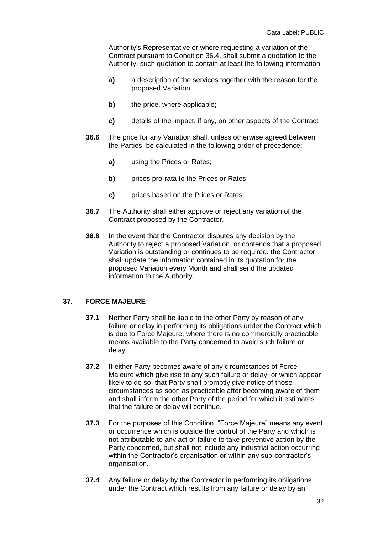Authority's Representative or where requesting a variation of the Contract pursuant to Condition 36.4, shall submit a quotation to the Authority, such quotation to contain at least the following information:

- **a)** a description of the services together with the reason for the proposed Variation;
- **b)** the price, where applicable;
- **c)** details of the impact, if any, on other aspects of the Contract
- **36.6** The price for any Variation shall, unless otherwise agreed between the Parties, be calculated in the following order of precedence:
	- **a)** using the Prices or Rates;
	- **b)** prices pro-rata to the Prices or Rates;
	- **c)** prices based on the Prices or Rates.
- **36.7** The Authority shall either approve or reject any variation of the Contract proposed by the Contractor.
- **36.8** In the event that the Contractor disputes any decision by the Authority to reject a proposed Variation, or contends that a proposed Variation is outstanding or continues to be required, the Contractor shall update the information contained in its quotation for the proposed Variation every Month and shall send the updated information to the Authority.

#### **37. FORCE MAJEURE**

- **37.1** Neither Party shall be liable to the other Party by reason of any failure or delay in performing its obligations under the Contract which is due to Force Majeure, where there is no commercially practicable means available to the Party concerned to avoid such failure or delay.
- **37.2** If either Party becomes aware of any circumstances of Force Majeure which give rise to any such failure or delay, or which appear likely to do so, that Party shall promptly give notice of those circumstances as soon as practicable after becoming aware of them and shall inform the other Party of the period for which it estimates that the failure or delay will continue.
- **37.3** For the purposes of this Condition, "Force Majeure" means any event or occurrence which is outside the control of the Party and which is not attributable to any act or failure to take preventive action by the Party concerned, but shall not include any industrial action occurring within the Contractor's organisation or within any sub-contractor's organisation.
- **37.4** Any failure or delay by the Contractor in performing its obligations under the Contract which results from any failure or delay by an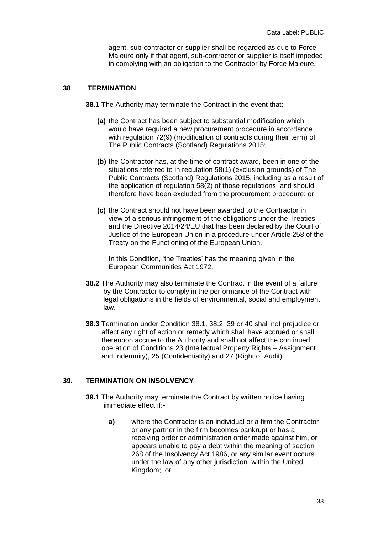agent, sub-contractor or supplier shall be regarded as due to Force Majeure only if that agent, sub-contractor or supplier is itself impeded in complying with an obligation to the Contractor by Force Majeure.

#### **38 TERMINATION**

**38.1** The Authority may terminate the Contract in the event that:

- **(a)** the Contract has been subject to substantial modification which would have required a new procurement procedure in accordance with regulation 72(9) (modification of contracts during their term) of The Public Contracts (Scotland) Regulations 2015;
- **(b)** the Contractor has, at the time of contract award, been in one of the situations referred to in regulation 58(1) (exclusion grounds) of The Public Contracts (Scotland) Regulations 2015, including as a result of the application of regulation 58(2) of those regulations, and should therefore have been excluded from the procurement procedure; or
- **(c)** the Contract should not have been awarded to the Contractor in view of a serious infringement of the obligations under the Treaties and the Directive 2014/24/EU that has been declared by the Court of Justice of the European Union in a procedure under Article 258 of the Treaty on the Functioning of the European Union.

In this Condition, 'the Treaties' has the meaning given in the European Communities Act 1972.

- **38.2** The Authority may also terminate the Contract in the event of a failure by the Contractor to comply in the performance of the Contract with legal obligations in the fields of environmental, social and employment law.
- **38.3** Termination under Condition 38.1, 38.2, 39 or 40 shall not prejudice or affect any right of action or remedy which shall have accrued or shall thereupon accrue to the Authority and shall not affect the continued operation of Conditions 23 (Intellectual Property Rights – Assignment and Indemnity), 25 (Confidentiality) and 27 (Right of Audit).

#### **39. TERMINATION ON INSOLVENCY**

- **39.1** The Authority may terminate the Contract by written notice having immediate effect if:
	- **a)** where the Contractor is an individual or a firm the Contractor or any partner in the firm becomes bankrupt or has a receiving order or administration order made against him, or appears unable to pay a debt within the meaning of section 268 of the Insolvency Act 1986, or any similar event occurs under the law of any other jurisdiction within the United Kingdom; or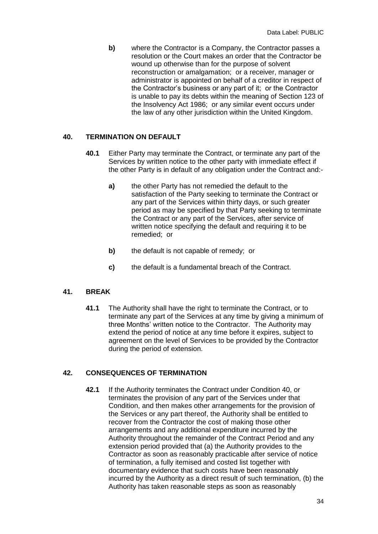**b)** where the Contractor is a Company, the Contractor passes a resolution or the Court makes an order that the Contractor be wound up otherwise than for the purpose of solvent reconstruction or amalgamation; or a receiver, manager or administrator is appointed on behalf of a creditor in respect of the Contractor's business or any part of it; or the Contractor is unable to pay its debts within the meaning of Section 123 of the Insolvency Act 1986; or any similar event occurs under the law of any other jurisdiction within the United Kingdom.

## **40. TERMINATION ON DEFAULT**

- **40.1** Either Party may terminate the Contract, or terminate any part of the Services by written notice to the other party with immediate effect if the other Party is in default of any obligation under the Contract and:
	- **a)** the other Party has not remedied the default to the satisfaction of the Party seeking to terminate the Contract or any part of the Services within thirty days, or such greater period as may be specified by that Party seeking to terminate the Contract or any part of the Services, after service of written notice specifying the default and requiring it to be remedied; or
	- **b)** the default is not capable of remedy; or
	- **c)** the default is a fundamental breach of the Contract.

#### **41. BREAK**

**41.1** The Authority shall have the right to terminate the Contract, or to terminate any part of the Services at any time by giving a minimum of three Months' written notice to the Contractor. The Authority may extend the period of notice at any time before it expires, subject to agreement on the level of Services to be provided by the Contractor during the period of extension.

## **42. CONSEQUENCES OF TERMINATION**

**42.1** If the Authority terminates the Contract under Condition 40, or terminates the provision of any part of the Services under that Condition, and then makes other arrangements for the provision of the Services or any part thereof, the Authority shall be entitled to recover from the Contractor the cost of making those other arrangements and any additional expenditure incurred by the Authority throughout the remainder of the Contract Period and any extension period provided that (a) the Authority provides to the Contractor as soon as reasonably practicable after service of notice of termination, a fully itemised and costed list together with documentary evidence that such costs have been reasonably incurred by the Authority as a direct result of such termination, (b) the Authority has taken reasonable steps as soon as reasonably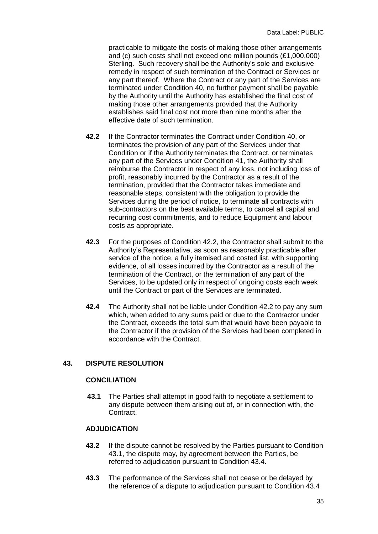practicable to mitigate the costs of making those other arrangements and (c) such costs shall not exceed one million pounds (£1,000,000) Sterling. Such recovery shall be the Authority's sole and exclusive remedy in respect of such termination of the Contract or Services or any part thereof. Where the Contract or any part of the Services are terminated under Condition 40, no further payment shall be payable by the Authority until the Authority has established the final cost of making those other arrangements provided that the Authority establishes said final cost not more than nine months after the effective date of such termination.

- **42.2** If the Contractor terminates the Contract under Condition 40, or terminates the provision of any part of the Services under that Condition or if the Authority terminates the Contract, or terminates any part of the Services under Condition 41, the Authority shall reimburse the Contractor in respect of any loss, not including loss of profit, reasonably incurred by the Contractor as a result of the termination, provided that the Contractor takes immediate and reasonable steps, consistent with the obligation to provide the Services during the period of notice, to terminate all contracts with sub-contractors on the best available terms, to cancel all capital and recurring cost commitments, and to reduce Equipment and labour costs as appropriate.
- **42.3** For the purposes of Condition 42.2, the Contractor shall submit to the Authority's Representative, as soon as reasonably practicable after service of the notice, a fully itemised and costed list, with supporting evidence, of all losses incurred by the Contractor as a result of the termination of the Contract, or the termination of any part of the Services, to be updated only in respect of ongoing costs each week until the Contract or part of the Services are terminated.
- **42.4** The Authority shall not be liable under Condition 42.2 to pay any sum which, when added to any sums paid or due to the Contractor under the Contract, exceeds the total sum that would have been payable to the Contractor if the provision of the Services had been completed in accordance with the Contract.

## **43. DISPUTE RESOLUTION**

## **CONCILIATION**

**43.1** The Parties shall attempt in good faith to negotiate a settlement to any dispute between them arising out of, or in connection with, the Contract.

#### **ADJUDICATION**

- **43.2** If the dispute cannot be resolved by the Parties pursuant to Condition 43.1, the dispute may, by agreement between the Parties, be referred to adjudication pursuant to Condition 43.4.
- **43.3** The performance of the Services shall not cease or be delayed by the reference of a dispute to adjudication pursuant to Condition 43.4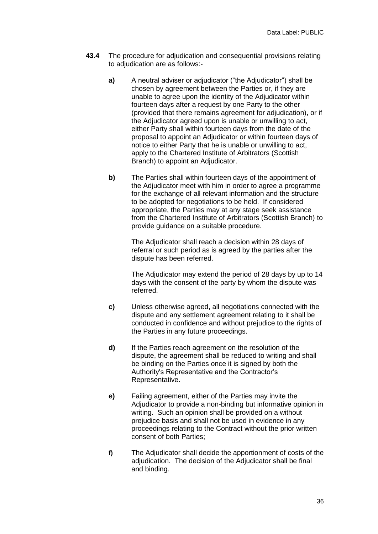- **43.4** The procedure for adjudication and consequential provisions relating to adjudication are as follows:
	- **a)** A neutral adviser or adjudicator ("the Adjudicator") shall be chosen by agreement between the Parties or, if they are unable to agree upon the identity of the Adjudicator within fourteen days after a request by one Party to the other (provided that there remains agreement for adjudication), or if the Adjudicator agreed upon is unable or unwilling to act, either Party shall within fourteen days from the date of the proposal to appoint an Adjudicator or within fourteen days of notice to either Party that he is unable or unwilling to act, apply to the Chartered Institute of Arbitrators (Scottish Branch) to appoint an Adjudicator.
	- **b)** The Parties shall within fourteen days of the appointment of the Adjudicator meet with him in order to agree a programme for the exchange of all relevant information and the structure to be adopted for negotiations to be held. If considered appropriate, the Parties may at any stage seek assistance from the Chartered Institute of Arbitrators (Scottish Branch) to provide guidance on a suitable procedure.

The Adjudicator shall reach a decision within 28 days of referral or such period as is agreed by the parties after the dispute has been referred.

The Adjudicator may extend the period of 28 days by up to 14 days with the consent of the party by whom the dispute was referred.

- **c)** Unless otherwise agreed, all negotiations connected with the dispute and any settlement agreement relating to it shall be conducted in confidence and without prejudice to the rights of the Parties in any future proceedings.
- **d)** If the Parties reach agreement on the resolution of the dispute, the agreement shall be reduced to writing and shall be binding on the Parties once it is signed by both the Authority's Representative and the Contractor's Representative.
- **e)** Failing agreement, either of the Parties may invite the Adjudicator to provide a non-binding but informative opinion in writing. Such an opinion shall be provided on a without prejudice basis and shall not be used in evidence in any proceedings relating to the Contract without the prior written consent of both Parties;
- **f)** The Adjudicator shall decide the apportionment of costs of the adjudication. The decision of the Adjudicator shall be final and binding.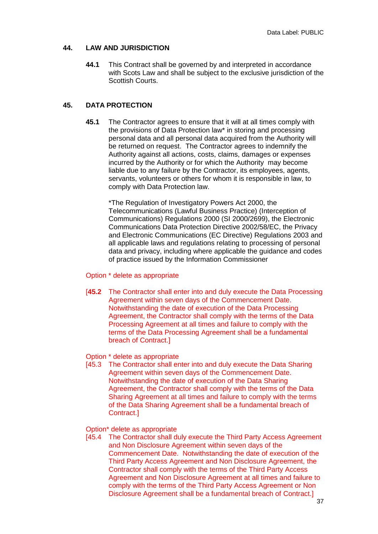#### **44. LAW AND JURISDICTION**

**44.1** This Contract shall be governed by and interpreted in accordance with Scots Law and shall be subject to the exclusive jurisdiction of the Scottish Courts.

## **45. DATA PROTECTION**

**45.1** The Contractor agrees to ensure that it will at all times comply with the provisions of Data Protection law\* in storing and processing personal data and all personal data acquired from the Authority will be returned on request. The Contractor agrees to indemnify the Authority against all actions, costs, claims, damages or expenses incurred by the Authority or for which the Authority may become liable due to any failure by the Contractor, its employees, agents, servants, volunteers or others for whom it is responsible in law, to comply with Data Protection law.

\*The Regulation of Investigatory Powers Act 2000, the Telecommunications (Lawful Business Practice) (Interception of Communications) Regulations 2000 (SI 2000/2699), the Electronic Communications Data Protection Directive 2002/58/EC, the Privacy and Electronic Communications (EC Directive) Regulations 2003 and all applicable laws and regulations relating to processing of personal data and privacy, including where applicable the guidance and codes of practice issued by the Information Commissioner

#### Option \* delete as appropriate

[**45.2** The Contractor shall enter into and duly execute the Data Processing Agreement within seven days of the Commencement Date. Notwithstanding the date of execution of the Data Processing Agreement, the Contractor shall comply with the terms of the Data Processing Agreement at all times and failure to comply with the terms of the Data Processing Agreement shall be a fundamental breach of Contract.]

#### Option \* delete as appropriate

[45.3 The Contractor shall enter into and duly execute the Data Sharing Agreement within seven days of the Commencement Date. Notwithstanding the date of execution of the Data Sharing Agreement, the Contractor shall comply with the terms of the Data Sharing Agreement at all times and failure to comply with the terms of the Data Sharing Agreement shall be a fundamental breach of Contract.]

#### Option\* delete as appropriate

[45.4 The Contractor shall duly execute the Third Party Access Agreement and Non Disclosure Agreement within seven days of the Commencement Date. Notwithstanding the date of execution of the Third Party Access Agreement and Non Disclosure Agreement, the Contractor shall comply with the terms of the Third Party Access Agreement and Non Disclosure Agreement at all times and failure to comply with the terms of the Third Party Access Agreement or Non Disclosure Agreement shall be a fundamental breach of Contract.]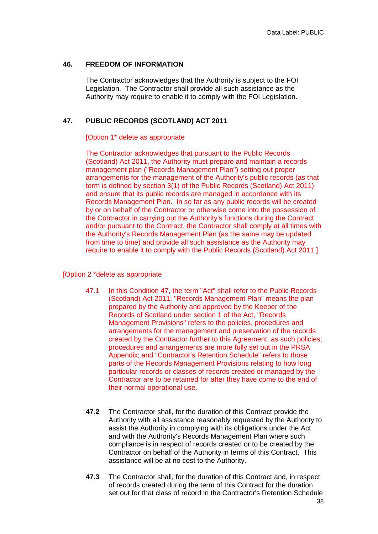#### **46. FREEDOM OF INFORMATION**

The Contractor acknowledges that the Authority is subject to the FOI Legislation. The Contractor shall provide all such assistance as the Authority may require to enable it to comply with the FOI Legislation.

## **47. PUBLIC RECORDS (SCOTLAND) ACT 2011**

#### [Option 1\* delete as appropriate

The Contractor acknowledges that pursuant to the Public Records (Scotland) Act 2011, the Authority must prepare and maintain a records management plan ("Records Management Plan") setting out proper arrangements for the management of the Authority's public records (as that term is defined by section 3(1) of the Public Records (Scotland) Act 2011) and ensure that its public records are managed in accordance with its Records Management Plan. In so far as any public records will be created by or on behalf of the Contractor or otherwise come into the possession of the Contractor in carrying out the Authority's functions during the Contract and/or pursuant to the Contract, the Contractor shall comply at all times with the Authority's Records Management Plan (as the same may be updated from time to time) and provide all such assistance as the Authority may require to enable it to comply with the Public Records (Scotland) Act 2011.]

#### [Option 2 \*delete as appropriate

- 47.1 In this Condition 47, the term "Act" shall refer to the Public Records (Scotland) Act 2011; "Records Management Plan" means the plan prepared by the Authority and approved by the Keeper of the Records of Scotland under section 1 of the Act, "Records Management Provisions" refers to the policies, procedures and arrangements for the management and preservation of the records created by the Contractor further to this Agreement, as such policies, procedures and arrangements are more fully set out in the PRSA Appendix; and "Contractor's Retention Schedule" refers to those parts of the Records Management Provisions relating to how long particular records or classes of records created or managed by the Contractor are to be retained for after they have come to the end of their normal operational use.
- **47.2** The Contractor shall, for the duration of this Contract provide the Authority with all assistance reasonably requested by the Authority to assist the Authority in complying with its obligations under the Act and with the Authority's Records Management Plan where such compliance is in respect of records created or to be created by the Contractor on behalf of the Authority in terms of this Contract. This assistance will be at no cost to the Authority.
- **47.3** The Contractor shall, for the duration of this Contract and, in respect of records created during the term of this Contract for the duration set out for that class of record in the Contractor's Retention Schedule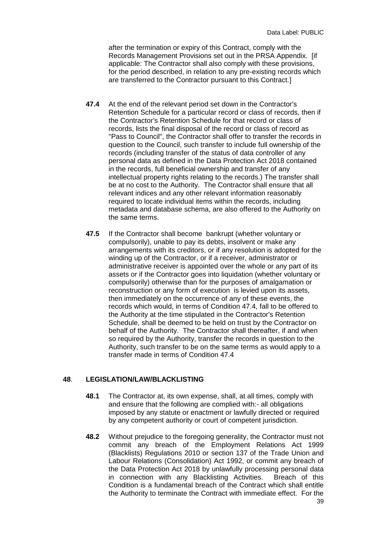after the termination or expiry of this Contract, comply with the Records Management Provisions set out in the PRSA Appendix. [if applicable: The Contractor shall also comply with these provisions, for the period described, in relation to any pre-existing records which are transferred to the Contractor pursuant to this Contract.]

- **47.4** At the end of the relevant period set down in the Contractor's Retention Schedule for a particular record or class of records, then if the Contractor's Retention Schedule for that record or class of records, lists the final disposal of the record or class of record as "Pass to Council", the Contractor shall offer to transfer the records in question to the Council, such transfer to include full ownership of the records (including transfer of the status of data controller of any personal data as defined in the Data Protection Act 2018 contained in the records, full beneficial ownership and transfer of any intellectual property rights relating to the records.) The transfer shall be at no cost to the Authority. The Contractor shall ensure that all relevant indices and any other relevant information reasonably required to locate individual items within the records, including metadata and database schema, are also offered to the Authority on the same terms.
- **47.5** If the Contractor shall become bankrupt (whether voluntary or compulsorily), unable to pay its debts, insolvent or make any arrangements with its creditors, or if any resolution is adopted for the winding up of the Contractor, or if a receiver, administrator or administrative receiver is appointed over the whole or any part of its assets or if the Contractor goes into liquidation (whether voluntary or compulsorily) otherwise than for the purposes of amalgamation or reconstruction or any form of execution is levied upon its assets, then immediately on the occurrence of any of these events, the records which would, in terms of Condition 47.4, fall to be offered to the Authority at the time stipulated in the Contractor's Retention Schedule, shall be deemed to be held on trust by the Contractor on behalf of the Authority. The Contractor shall thereafter, if and when so required by the Authority, transfer the records in question to the Authority, such transfer to be on the same terms as would apply to a transfer made in terms of Condition 47.4

#### **48**. **LEGISLATION/LAW/BLACKLISTING**

- **48.1** The Contractor at, its own expense, shall, at all times, comply with and ensure that the following are complied with:- all obligations imposed by any statute or enactment or lawfully directed or required by any competent authority or court of competent jurisdiction.
- **48.2** Without prejudice to the foregoing generality, the Contractor must not commit any breach of the Employment Relations Act 1999 (Blacklists) Regulations 2010 or section 137 of the Trade Union and Labour Relations (Consolidation) Act 1992, or commit any breach of the Data Protection Act 2018 by unlawfully processing personal data in connection with any Blacklisting Activities. Breach of this Condition is a fundamental breach of the Contract which shall entitle the Authority to terminate the Contract with immediate effect. For the